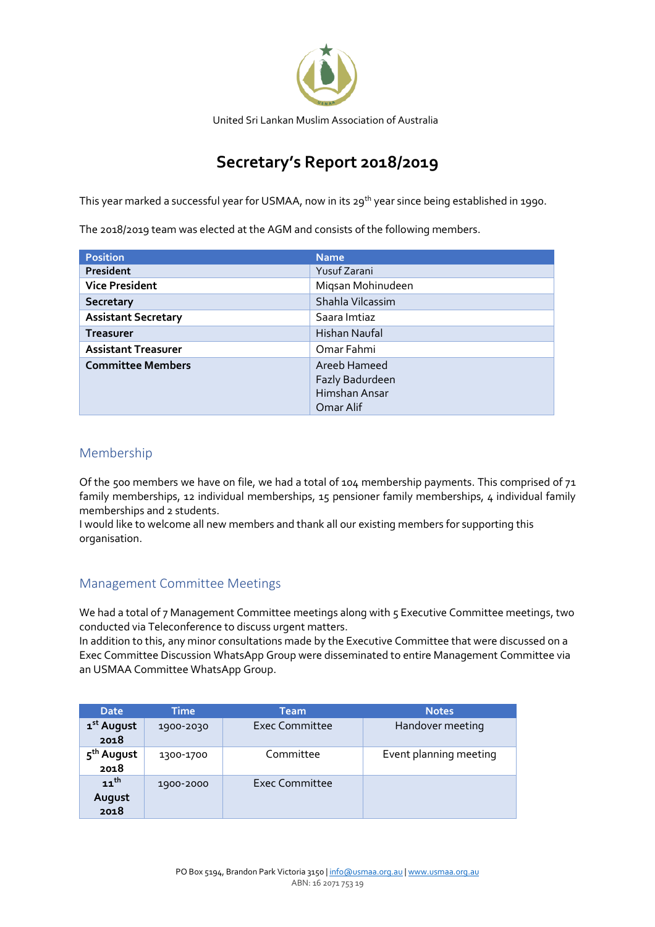

# **Secretary's Report 2018/2019**

This year marked a successful year for USMAA, now in its 29<sup>th</sup> year since being established in 1990.

The 2018/2019 team was elected at the AGM and consists of the following members.

| <b>Position</b>            | <b>Name</b>       |  |  |
|----------------------------|-------------------|--|--|
| President                  | Yusuf Zarani      |  |  |
| <b>Vice President</b>      | Migsan Mohinudeen |  |  |
| <b>Secretary</b>           | Shahla Vilcassim  |  |  |
| <b>Assistant Secretary</b> | Saara Imtiaz      |  |  |
| <b>Treasurer</b>           | Hishan Naufal     |  |  |
| <b>Assistant Treasurer</b> | Omar Fahmi        |  |  |
| <b>Committee Members</b>   | Areeb Hameed      |  |  |
|                            | Fazly Badurdeen   |  |  |
|                            | Himshan Ansar     |  |  |
|                            | Omar Alif         |  |  |

# Membership

Of the 500 members we have on file, we had a total of 104 membership payments. This comprised of 71 family memberships, 12 individual memberships, 15 pensioner family memberships, 4 individual family memberships and 2 students.

I would like to welcome all new members and thank all our existing members for supporting this organisation.

# Management Committee Meetings

We had a total of 7 Management Committee meetings along with 5 Executive Committee meetings, two conducted via Teleconference to discuss urgent matters.

In addition to this, any minor consultations made by the Executive Committee that were discussed on a Exec Committee Discussion WhatsApp Group were disseminated to entire Management Committee via an USMAA Committee WhatsApp Group.

| <b>Date</b>                    | <b>Time</b> | <b>Team</b>    | <b>Notes</b>           |
|--------------------------------|-------------|----------------|------------------------|
| 1 <sup>st</sup> August<br>2018 | 1900-2030   | Exec Committee | Handover meeting       |
| 5 <sup>th</sup> August<br>2018 | 1300-1700   | Committee      | Event planning meeting |
| $11^{th}$<br>August<br>2018    | 1900-2000   | Exec Committee |                        |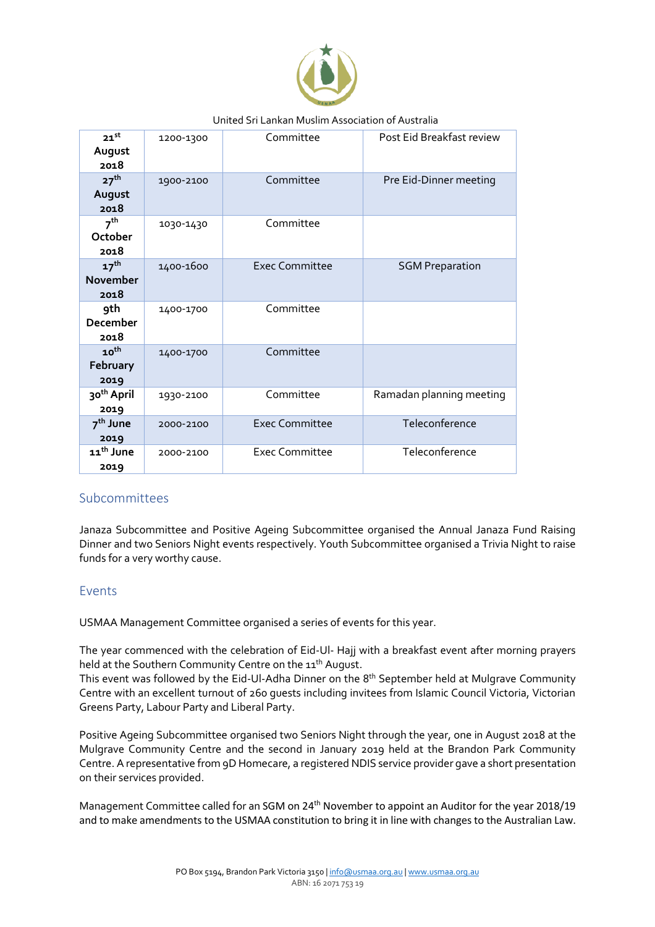

#### United Sri Lankan Muslim Association of Australia

| $21$ <sup>st</sup><br>August<br>2018        | 1200-1300 | Committee             | Post Eid Breakfast review |
|---------------------------------------------|-----------|-----------------------|---------------------------|
| 27 <sup>th</sup><br>August<br>2018          | 1900-2100 | Committee             | Pre Eid-Dinner meeting    |
| 7 <sup>th</sup><br>October<br>2018          | 1030-1430 | Committee             |                           |
| 17 <sup>th</sup><br><b>November</b><br>2018 | 1400-1600 | Exec Committee        | <b>SGM Preparation</b>    |
| 9th<br><b>December</b><br>2018              | 1400-1700 | Committee             |                           |
| 10 <sup>th</sup><br>February<br>2019        | 1400-1700 | Committee             |                           |
| 30 <sup>th</sup> April<br>2019              | 1930-2100 | Committee             | Ramadan planning meeting  |
| 7 <sup>th</sup> June<br>2019                | 2000-2100 | <b>Exec Committee</b> | Teleconference            |
| 11 <sup>th</sup> June<br>2019               | 2000-2100 | Exec Committee        | Teleconference            |

#### Subcommittees

Janaza Subcommittee and Positive Ageing Subcommittee organised the Annual Janaza Fund Raising Dinner and two Seniors Night events respectively. Youth Subcommittee organised a Trivia Night to raise funds for a very worthy cause.

#### Events

USMAA Management Committee organised a series of events for this year.

The year commenced with the celebration of Eid-Ul- Hajj with a breakfast event after morning prayers held at the Southern Community Centre on the 11<sup>th</sup> August.

This event was followed by the Eid-Ul-Adha Dinner on the 8<sup>th</sup> September held at Mulgrave Community Centre with an excellent turnout of 260 guests including invitees from Islamic Council Victoria, Victorian Greens Party, Labour Party and Liberal Party.

Positive Ageing Subcommittee organised two Seniors Night through the year, one in August 2018 at the Mulgrave Community Centre and the second in January 2019 held at the Brandon Park Community Centre. A representative from 9D Homecare, a registered NDIS service provider gave a short presentation on their services provided.

Management Committee called for an SGM on 24<sup>th</sup> November to appoint an Auditor for the year 2018/19 and to make amendments to the USMAA constitution to bring it in line with changes to the Australian Law.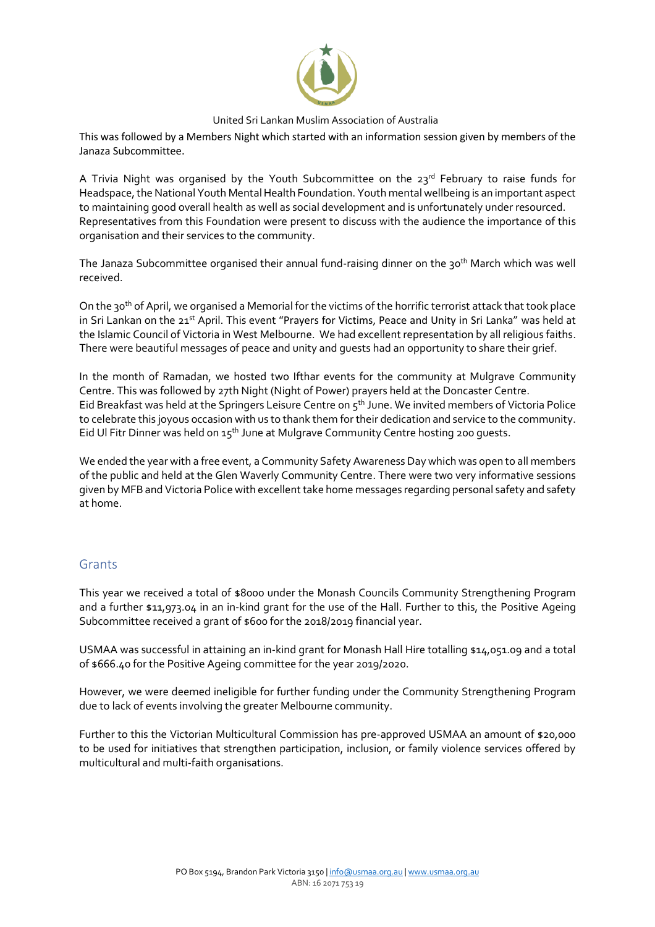

#### United Sri Lankan Muslim Association of Australia

This was followed by a Members Night which started with an information session given by members of the Janaza Subcommittee.

A Trivia Night was organised by the Youth Subcommittee on the 23rd February to raise funds for Headspace, the National Youth Mental Health Foundation. Youth mental wellbeing is an important aspect to maintaining good overall health as well as social development and is unfortunately under resourced. Representatives from this Foundation were present to discuss with the audience the importance of this organisation and their services to the community.

The Janaza Subcommittee organised their annual fund-raising dinner on the 30<sup>th</sup> March which was well received.

On the 30th of April, we organised a Memorial for the victims of the horrific terrorist attack that took place in Sri Lankan on the 21<sup>st</sup> April. This event "Prayers for Victims, Peace and Unity in Sri Lanka" was held at the Islamic Council of Victoria in West Melbourne. We had excellent representation by all religious faiths. There were beautiful messages of peace and unity and guests had an opportunity to share their grief.

In the month of Ramadan, we hosted two Ifthar events for the community at Mulgrave Community Centre. This was followed by 27th Night (Night of Power) prayers held at the Doncaster Centre. Eid Breakfast was held at the Springers Leisure Centre on 5th June. We invited members of Victoria Police to celebrate this joyous occasion with us to thank them for their dedication and service to the community. Eid Ul Fitr Dinner was held on 15<sup>th</sup> June at Mulgrave Community Centre hosting 200 quests.

We ended the year with a free event, a Community Safety Awareness Day which was open to all members of the public and held at the Glen Waverly Community Centre. There were two very informative sessions given by MFB and Victoria Police with excellent take home messages regarding personal safety and safety at home.

#### **Grants**

This year we received a total of \$8000 under the Monash Councils Community Strengthening Program and a further \$11,973.04 in an in-kind grant for the use of the Hall. Further to this, the Positive Ageing Subcommittee received a grant of \$600 for the 2018/2019 financial year.

USMAA was successful in attaining an in-kind grant for Monash Hall Hire totalling \$14,051.09 and a total of \$666.40 for the Positive Ageing committee for the year 2019/2020.

However, we were deemed ineligible for further funding under the Community Strengthening Program due to lack of events involving the greater Melbourne community.

Further to this the Victorian Multicultural Commission has pre-approved USMAA an amount of \$20,000 to be used for initiatives that strengthen participation, inclusion, or family violence services offered by multicultural and multi-faith organisations.